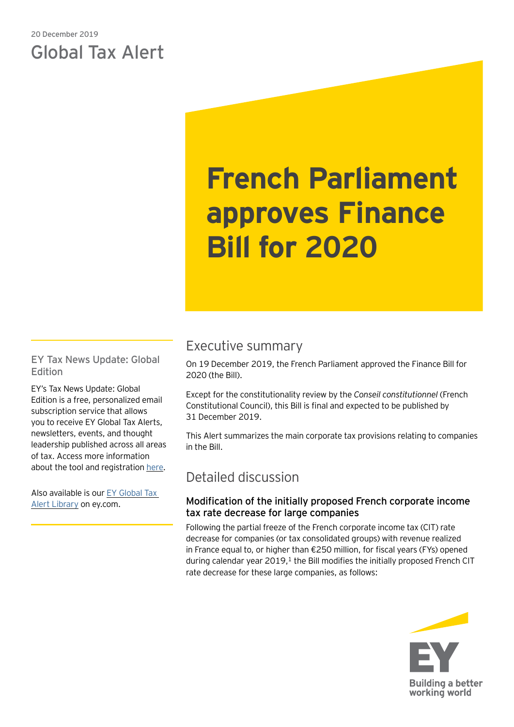## 20 December 2019 Global Tax Alert

# **French Parliament approves Finance Bill for 2020**

EY Tax News Update: Global Edition

EY's Tax News Update: Global Edition is a free, personalized email subscription service that allows you to receive EY Global Tax Alerts, newsletters, events, and thought leadership published across all areas of tax. Access more information about the tool and registration [here.](https://www.ey.com/gl/en/services/tax/sign-up-for-ey-tax-news-update-global-edition)

Also available is our [EY Global Tax](https://www.ey.com/gl/en/services/tax/international-tax/tax-alert-library)  [Alert Library](https://www.ey.com/gl/en/services/tax/international-tax/tax-alert-library) on ey.com.

# Executive summary

On 19 December 2019, the French Parliament approved the Finance Bill for 2020 (the Bill).

Except for the constitutionality review by the *Conseil constitutionnel* (French Constitutional Council), this Bill is final and expected to be published by 31 December 2019.

This Alert summarizes the main corporate tax provisions relating to companies in the Bill.

## Detailed discussion

## Modification of the initially proposed French corporate income tax rate decrease for large companies

Following the partial freeze of the French corporate income tax (CIT) rate decrease for companies (or tax consolidated groups) with revenue realized in France equal to, or higher than €250 million, for fiscal years (FYs) opened during calendar year  $2019<sup>1</sup>$ , the Bill modifies the initially proposed French CIT rate decrease for these large companies, as follows:

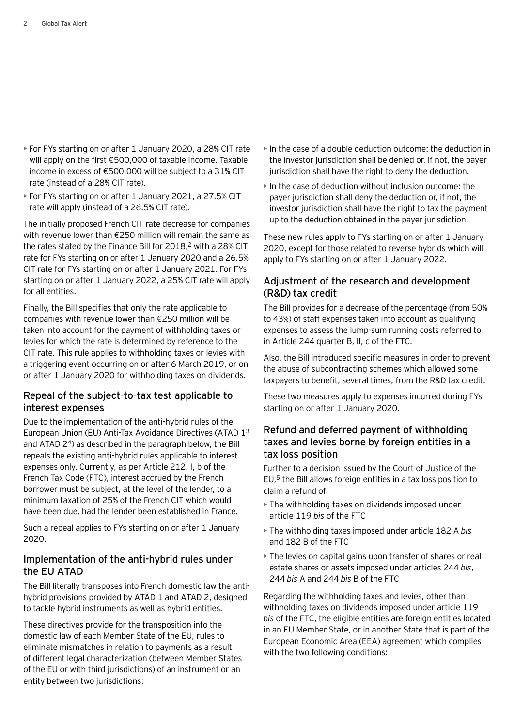- For FYs starting on or after 1 January 2020, a 28% CIT rate will apply on the first €500,000 of taxable income. Taxable income in excess of €500,000 will be subject to a 31% CIT rate (instead of a 28% CIT rate).
- For FYs starting on or after 1 January 2021, a 27.5% CIT rate will apply (instead of a 26.5% CIT rate).

The initially proposed French CIT rate decrease for companies with revenue lower than €250 million will remain the same as the rates stated by the Finance Bill for 2018,<sup>2</sup> with a 28% CIT rate for FYs starting on or after 1 January 2020 and a 26.5% CIT rate for FYs starting on or after 1 January 2021. For FYs starting on or after 1 January 2022, a 25% CIT rate will apply for all entities.

Finally, the Bill specifies that only the rate applicable to companies with revenue lower than €250 million will be taken into account for the payment of withholding taxes or levies for which the rate is determined by reference to the CIT rate. This rule applies to withholding taxes or levies with a triggering event occurring on or after 6 March 2019, or on or after 1 January 2020 for withholding taxes on dividends.

#### Repeal of the subject-to-tax test applicable to interest expenses

Due to the implementation of the anti-hybrid rules of the European Union (EU) Anti-Tax Avoidance Directives (ATAD 1<sup>3</sup> and ATAD  $2<sup>4</sup>$ ) as described in the paragraph below, the Bill repeals the existing anti-hybrid rules applicable to interest expenses only. Currently, as per Article 212. I, b of the French Tax Code (FTC), interest accrued by the French borrower must be subject, at the level of the lender, to a minimum taxation of 25% of the French CIT which would have been due, had the lender been established in France.

Such a repeal applies to FYs starting on or after 1 January 2020.

#### Implementation of the anti-hybrid rules under the EU ATAD

The Bill literally transposes into French domestic law the antihybrid provisions provided by ATAD 1 and ATAD 2, designed to tackle hybrid instruments as well as hybrid entities.

These directives provide for the transposition into the domestic law of each Member State of the EU, rules to eliminate mismatches in relation to payments as a result of different legal characterization (between Member States of the EU or with third jurisdictions) of an instrument or an entity between two jurisdictions:

- In the case of a double deduction outcome: the deduction in the investor jurisdiction shall be denied or, if not, the payer jurisdiction shall have the right to deny the deduction.
- In the case of deduction without inclusion outcome: the payer jurisdiction shall deny the deduction or, if not, the investor jurisdiction shall have the right to tax the payment up to the deduction obtained in the payer jurisdiction.

These new rules apply to FYs starting on or after 1 January 2020, except for those related to reverse hybrids which will apply to FYs starting on or after 1 January 2022.

### Adjustment of the research and development (R&D) tax credit

The Bill provides for a decrease of the percentage (from 50% to 43%) of staff expenses taken into account as qualifying expenses to assess the lump-sum running costs referred to in Article 244 quarter B, II, c of the FTC.

Also, the Bill introduced specific measures in order to prevent the abuse of subcontracting schemes which allowed some taxpayers to benefit, several times, from the R&D tax credit.

These two measures apply to expenses incurred during FYs starting on or after 1 January 2020.

#### Refund and deferred payment of withholding taxes and levies borne by foreign entities in a tax loss position

Further to a decision issued by the Court of Justice of the EU,5 the Bill allows foreign entities in a tax loss position to claim a refund of:

- The withholding taxes on dividends imposed under article 119 *bis* of the FTC
- The withholding taxes imposed under article 182 A *bis* and 182 B of the FTC
- The levies on capital gains upon transfer of shares or real estate shares or assets imposed under articles 244 *bis*, 244 *bis* A and 244 *bis* B of the FTC

Regarding the withholding taxes and levies, other than withholding taxes on dividends imposed under article 119 *bis* of the FTC, the eligible entities are foreign entities located in an EU Member State, or in another State that is part of the European Economic Area (EEA) agreement which complies with the two following conditions: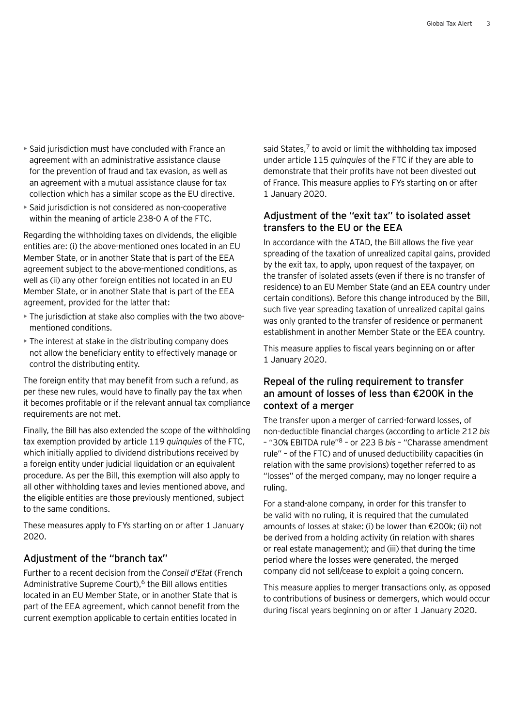- Said jurisdiction must have concluded with France an agreement with an administrative assistance clause for the prevention of fraud and tax evasion, as well as an agreement with a mutual assistance clause for tax collection which has a similar scope as the EU directive.
- Said jurisdiction is not considered as non-cooperative within the meaning of article 238-0 A of the FTC.

Regarding the withholding taxes on dividends, the eligible entities are: (i) the above-mentioned ones located in an EU Member State, or in another State that is part of the EEA agreement subject to the above-mentioned conditions, as well as (ii) any other foreign entities not located in an EU Member State, or in another State that is part of the EEA agreement, provided for the latter that:

- The jurisdiction at stake also complies with the two abovementioned conditions.
- The interest at stake in the distributing company does not allow the beneficiary entity to effectively manage or control the distributing entity.

The foreign entity that may benefit from such a refund, as per these new rules, would have to finally pay the tax when it becomes profitable or if the relevant annual tax compliance requirements are not met.

Finally, the Bill has also extended the scope of the withholding tax exemption provided by article 119 *quinquies* of the FTC, which initially applied to dividend distributions received by a foreign entity under judicial liquidation or an equivalent procedure. As per the Bill, this exemption will also apply to all other withholding taxes and levies mentioned above, and the eligible entities are those previously mentioned, subject to the same conditions.

These measures apply to FYs starting on or after 1 January 2020.

#### Adjustment of the "branch tax"

Further to a recent decision from the *Conseil d'Etat* (French Administrative Supreme Court),<sup>6</sup> the Bill allows entities located in an EU Member State, or in another State that is part of the EEA agreement, which cannot benefit from the current exemption applicable to certain entities located in

said States, $7$  to avoid or limit the withholding tax imposed under article 115 *quinquies* of the FTC if they are able to demonstrate that their profits have not been divested out of France. This measure applies to FYs starting on or after 1 January 2020.

#### Adjustment of the "exit tax" to isolated asset transfers to the EU or the EEA

In accordance with the ATAD, the Bill allows the five year spreading of the taxation of unrealized capital gains, provided by the exit tax, to apply, upon request of the taxpayer, on the transfer of isolated assets (even if there is no transfer of residence) to an EU Member State (and an EEA country under certain conditions). Before this change introduced by the Bill, such five year spreading taxation of unrealized capital gains was only granted to the transfer of residence or permanent establishment in another Member State or the EEA country.

This measure applies to fiscal years beginning on or after 1 January 2020.

#### Repeal of the ruling requirement to transfer an amount of losses of less than €200K in the context of a merger

The transfer upon a merger of carried-forward losses, of non-deductible financial charges (according to article 212 *bis* – "30% EBITDA rule"8 – or 223 B *bis* – "Charasse amendment rule" – of the FTC) and of unused deductibility capacities (in relation with the same provisions) together referred to as "losses" of the merged company, may no longer require a ruling.

For a stand-alone company, in order for this transfer to be valid with no ruling, it is required that the cumulated amounts of losses at stake: (i) be lower than €200k; (ii) not be derived from a holding activity (in relation with shares or real estate management); and (iii) that during the time period where the losses were generated, the merged company did not sell/cease to exploit a going concern.

This measure applies to merger transactions only, as opposed to contributions of business or demergers, which would occur during fiscal years beginning on or after 1 January 2020.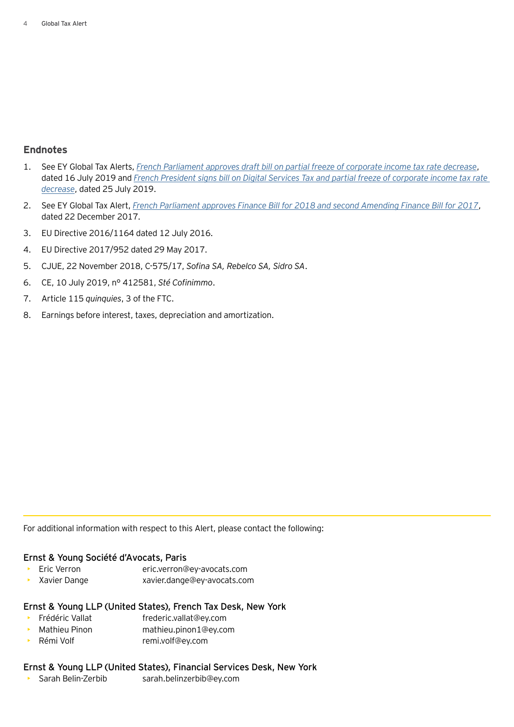#### **Endnotes**

- 1. See EY Global Tax Alerts, *[French Parliament approves draft bill on partial freeze of corporate income tax rate decrease](https://globaltaxnews.ey.com/news/2019-5881-french-parliament-approves-draft-bill-on-partial-freeze-of-corporate-income-tax-rate-decrease)*, dated 16 July 2019 and *[French President signs bill on Digital Services Tax and partial freeze of corporate income tax rate](https://globaltaxnews.ey.com/news/2019-5931-french-president-signs-bill-on-digital-services-tax-and-partial-freeze-of-corporate-income-tax-rate-decrease)  [decrease](https://globaltaxnews.ey.com/news/2019-5931-french-president-signs-bill-on-digital-services-tax-and-partial-freeze-of-corporate-income-tax-rate-decrease)*, dated 25 July 2019.
- 2. See EY Global Tax Alert, *[French Parliament approves Finance Bill for 2018 and second Amending Finance Bill for 2017](https://globaltaxnews.ey.com/news/2017-5076-french-parliament-approves-finance-bill-for-2018-and-second-amending-finance-bill-for-2017)*, dated 22 December 2017.
- 3. EU Directive 2016/1164 dated 12 July 2016.
- 4. EU Directive 2017/952 dated 29 May 2017.
- 5. CJUE, 22 November 2018, C-575/17, *Sofina SA, Rebelco SA, Sidro SA*.
- 6. CE, 10 July 2019, n° 412581, *Sté Cofinimmo*.
- 7. Article 115 *quinquies*, 3 of the FTC.
- 8. Earnings before interest, taxes, depreciation and amortization.

For additional information with respect to this Alert, please contact the following:

#### Ernst & Young Société d'Avocats, Paris

- Eric Verron eric.verron@ey-avocats.com
- Xavier Dange xavier.dange@ey-avocats.com

#### Ernst & Young LLP (United States), French Tax Desk, New York

- Frédéric Vallat frederic.vallat@ey.com
- Mathieu Pinon mathieu.pinon1@ey.com
- Rémi Volf remi.volf@ey.com

#### Ernst & Young LLP (United States), Financial Services Desk, New York

• Sarah Belin-Zerbib sarah.belinzerbib@ey.com